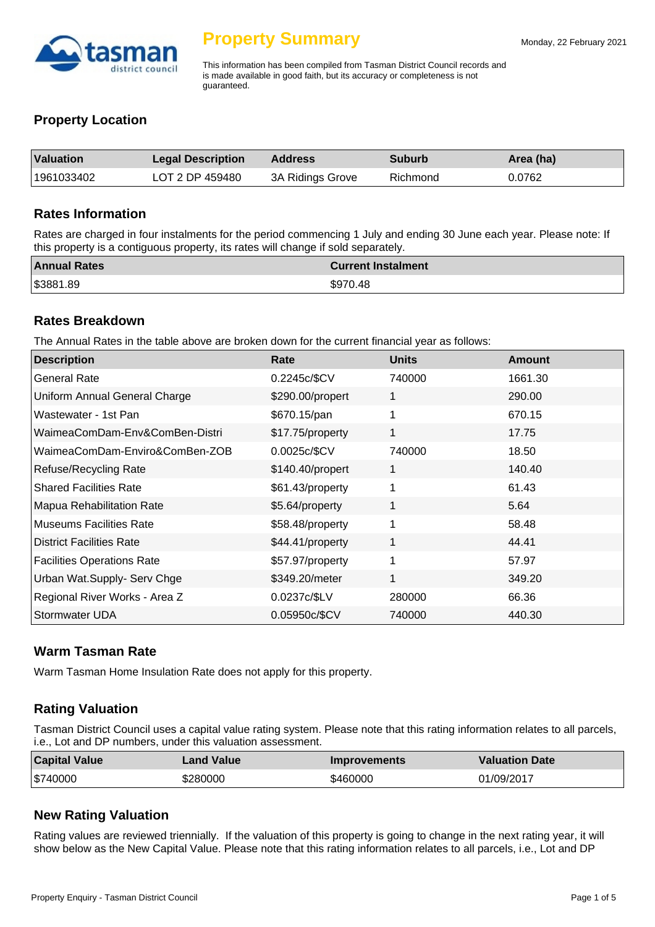

This information has been compiled from Tasman District Council records and is made available in good faith, but its accuracy or completeness is not guaranteed.

# **Property Location**

| Valuation  | <b>Legal Description</b> | <b>Address</b>   | <b>Suburb</b> | Area (ha) |
|------------|--------------------------|------------------|---------------|-----------|
| 1961033402 | LOT 2 DP 459480          | 3A Ridings Grove | Richmond      | 0.0762    |

#### **Rates Information**

Rates are charged in four instalments for the period commencing 1 July and ending 30 June each year. Please note: If this property is a contiguous property, its rates will change if sold separately.

| <b>Annual Rates</b> | <b>Current Instalment</b> |
|---------------------|---------------------------|
| \$3881.89           | \$970.48                  |

#### **Rates Breakdown**

The Annual Rates in the table above are broken down for the current financial year as follows:

| <b>Description</b>                   | Rate             | <b>Units</b> | <b>Amount</b> |
|--------------------------------------|------------------|--------------|---------------|
| <b>General Rate</b>                  | 0.2245c/\$CV     | 740000       | 1661.30       |
| <b>Uniform Annual General Charge</b> | \$290.00/propert | 1            | 290.00        |
| Wastewater - 1st Pan                 | \$670.15/pan     | 1            | 670.15        |
| WaimeaComDam-Env&ComBen-Distri       | \$17.75/property | 1            | 17.75         |
| WaimeaComDam-Enviro&ComBen-ZOB       | 0.0025c/\$CV     | 740000       | 18.50         |
| <b>Refuse/Recycling Rate</b>         | \$140.40/propert | 1            | 140.40        |
| <b>Shared Facilities Rate</b>        | \$61.43/property | 1            | 61.43         |
| Mapua Rehabilitation Rate            | \$5.64/property  | 1            | 5.64          |
| <b>Museums Facilities Rate</b>       | \$58.48/property | 1            | 58.48         |
| District Facilities Rate             | \$44.41/property | 1            | 44.41         |
| <b>Facilities Operations Rate</b>    | \$57.97/property | 1            | 57.97         |
| <b>Urban Wat.Supply- Serv Chge</b>   | \$349.20/meter   | 1            | 349.20        |
| Regional River Works - Area Z        | 0.0237c/\$LV     | 280000       | 66.36         |
| Stormwater UDA                       | 0.05950c/\$CV    | 740000       | 440.30        |

#### **Warm Tasman Rate**

Warm Tasman Home Insulation Rate does not apply for this property.

# **Rating Valuation**

Tasman District Council uses a capital value rating system. Please note that this rating information relates to all parcels, i.e., Lot and DP numbers, under this valuation assessment.

| <b>Capital Value</b> | <b>Land Value</b> | <b>Improvements</b> | <b>Valuation Date</b> |
|----------------------|-------------------|---------------------|-----------------------|
| \$740000             | \$280000          | \$460000            | 01/09/2017            |

# **New Rating Valuation**

Rating values are reviewed triennially. If the valuation of this property is going to change in the next rating year, it will show below as the New Capital Value. Please note that this rating information relates to all parcels, i.e., Lot and DP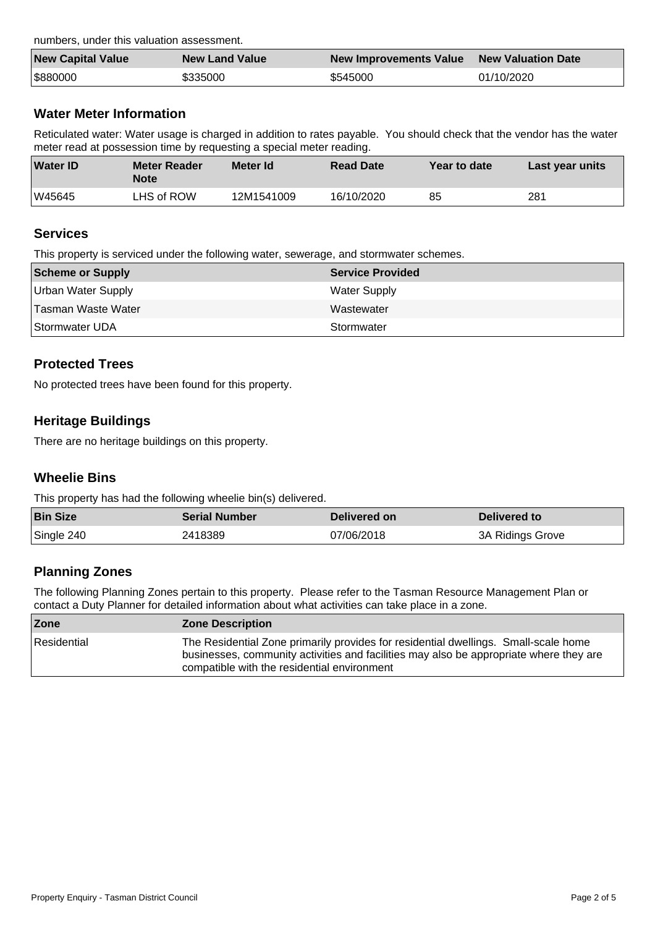numbers, under this valuation assessment.

| <b>New Capital Value</b> | <b>New Land Value</b> | New Improvements Value | New Valuation Date |
|--------------------------|-----------------------|------------------------|--------------------|
| \$880000                 | \$335000              | \$545000               | 01/10/2020         |

# **Water Meter Information**

Reticulated water: Water usage is charged in addition to rates payable. You should check that the vendor has the water meter read at possession time by requesting a special meter reading.

| <b>Water ID</b> | Meter Reader<br><b>Note</b> | Meter Id   | <b>Read Date</b> | Year to date | Last year units |
|-----------------|-----------------------------|------------|------------------|--------------|-----------------|
| W45645          | LHS of ROW                  | 12M1541009 | 16/10/2020       | 85           | 281             |

#### **Services**

This property is serviced under the following water, sewerage, and stormwater schemes.

| Scheme or Supply          | <b>Service Provided</b> |
|---------------------------|-------------------------|
| <b>Urban Water Supply</b> | <b>Water Supply</b>     |
| Tasman Waste Water        | Wastewater              |
| Stormwater UDA            | Stormwater              |

### **Protected Trees**

No protected trees have been found for this property.

### **Heritage Buildings**

There are no heritage buildings on this property.

## **Wheelie Bins**

This property has had the following wheelie bin(s) delivered.

| <b>Bin Size</b> | <b>Serial Number</b> | Delivered on | Delivered to     |
|-----------------|----------------------|--------------|------------------|
| Single 240      | 2418389              | 07/06/2018   | 3A Ridings Grove |

# **Planning Zones**

The following Planning Zones pertain to this property. Please refer to the Tasman Resource Management Plan or contact a Duty Planner for detailed information about what activities can take place in a zone.

| Zone          | <b>Zone Description</b>                                                                                                                                                                                                      |
|---------------|------------------------------------------------------------------------------------------------------------------------------------------------------------------------------------------------------------------------------|
| l Residential | The Residential Zone primarily provides for residential dwellings. Small-scale home<br>businesses, community activities and facilities may also be appropriate where they are<br>compatible with the residential environment |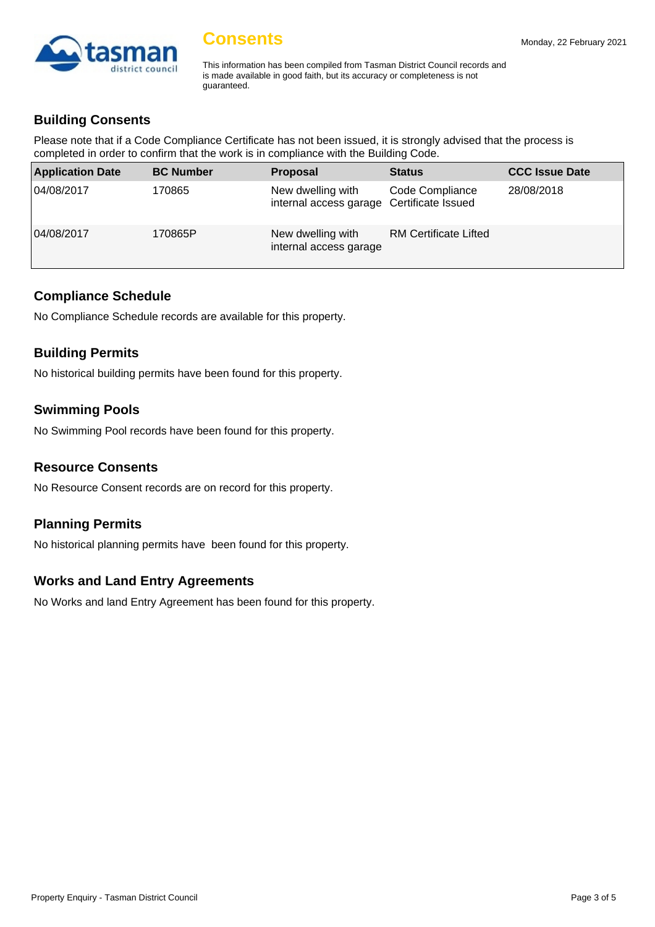

This information has been compiled from Tasman District Council records and is made available in good faith, but its accuracy or completeness is not guaranteed.

# **Building Consents**

Please note that if a Code Compliance Certificate has not been issued, it is strongly advised that the process is completed in order to confirm that the work is in compliance with the Building Code.

| <b>Application Date</b> | <b>BC Number</b> | <b>Proposal</b>                                                | <b>Status</b>                | <b>CCC Issue Date</b> |
|-------------------------|------------------|----------------------------------------------------------------|------------------------------|-----------------------|
| 04/08/2017              | 170865           | New dwelling with<br>internal access garage Certificate Issued | Code Compliance              | 28/08/2018            |
| 04/08/2017              | 170865P          | New dwelling with<br>internal access garage                    | <b>RM Certificate Lifted</b> |                       |

#### **Compliance Schedule**

No Compliance Schedule records are available for this property.

### **Building Permits**

No historical building permits have been found for this property.

### **Swimming Pools**

No Swimming Pool records have been found for this property.

#### **Resource Consents**

No Resource Consent records are on record for this property.

#### **Planning Permits**

No historical planning permits have been found for this property.

#### **Works and Land Entry Agreements**

No Works and land Entry Agreement has been found for this property.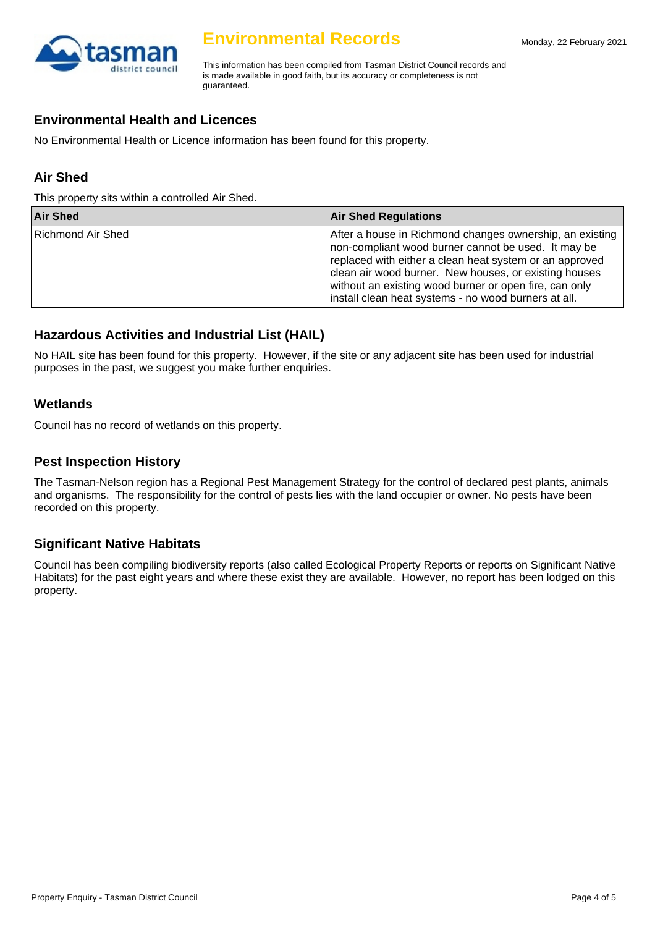

# **Environmental Records**

This information has been compiled from Tasman District Council records and is made available in good faith, but its accuracy or completeness is not guaranteed.

#### **Environmental Health and Licences**

No Environmental Health or Licence information has been found for this property.

# **Air Shed**

This property sits within a controlled Air Shed.

| <b>Air Shed</b>   | <b>Air Shed Regulations</b>                                                                                                                                                                                                                                                                                                                           |
|-------------------|-------------------------------------------------------------------------------------------------------------------------------------------------------------------------------------------------------------------------------------------------------------------------------------------------------------------------------------------------------|
| Richmond Air Shed | After a house in Richmond changes ownership, an existing<br>non-compliant wood burner cannot be used. It may be<br>replaced with either a clean heat system or an approved<br>clean air wood burner. New houses, or existing houses<br>without an existing wood burner or open fire, can only<br>install clean heat systems - no wood burners at all. |

# **Hazardous Activities and Industrial List (HAIL)**

No HAIL site has been found for this property. However, if the site or any adjacent site has been used for industrial purposes in the past, we suggest you make further enquiries.

### **Wetlands**

Council has no record of wetlands on this property.

#### **Pest Inspection History**

The Tasman-Nelson region has a Regional Pest Management Strategy for the control of declared pest plants, animals and organisms. The responsibility for the control of pests lies with the land occupier or owner. No pests have been recorded on this property.

# **Significant Native Habitats**

Council has been compiling biodiversity reports (also called Ecological Property Reports or reports on Significant Native Habitats) for the past eight years and where these exist they are available. However, no report has been lodged on this property.